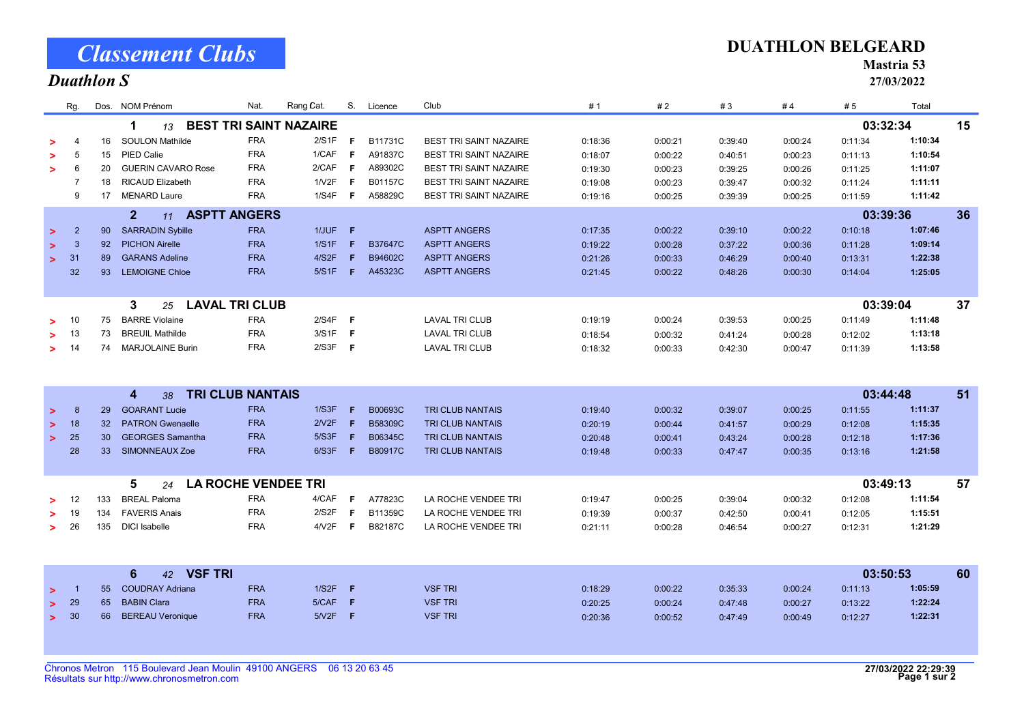|        | Rg.                                |                                                      | Dos. NOM Prénom                             | Nat.       | Rang Cat. |     | S. Licence     | Club                          | #1      | #2      | #3      | #4       | # 5      | Total   |    |
|--------|------------------------------------|------------------------------------------------------|---------------------------------------------|------------|-----------|-----|----------------|-------------------------------|---------|---------|---------|----------|----------|---------|----|
|        |                                    | <b>BEST TRI SAINT NAZAIRE</b><br>03:32:34<br>1<br>13 |                                             |            |           |     |                |                               |         |         |         |          |          |         |    |
|        | $\overline{4}$                     | 16                                                   | <b>SOULON Mathilde</b>                      | <b>FRA</b> | 2/S1F     | F   | B11731C        | <b>BEST TRI SAINT NAZAIRE</b> | 0:18:36 | 0:00:21 | 0:39:40 | 0:00:24  | 0:11:34  | 1:10:34 |    |
|        | 5                                  | 15                                                   | PIED Calie                                  | <b>FRA</b> | 1/CAF     | -F  | A91837C        | <b>BEST TRI SAINT NAZAIRE</b> | 0:18:07 | 0:00:22 | 0:40:51 | 0:00:23  | 0:11:13  | 1:10:54 |    |
|        | 6                                  | 20                                                   | <b>GUERIN CAVARO Rose</b>                   | <b>FRA</b> | 2/CAF     | - F | A89302C        | <b>BEST TRI SAINT NAZAIRE</b> | 0:19:30 | 0:00:23 | 0:39:25 | 0:00:26  | 0:11:25  | 1:11:07 |    |
|        |                                    | 18                                                   | <b>RICAUD Elizabeth</b>                     | <b>FRA</b> | 1N2F      | -F  | B01157C        | <b>BEST TRI SAINT NAZAIRE</b> | 0:19:08 | 0:00:23 | 0:39:47 | 0:00:32  | 0:11:24  | 1:11:11 |    |
|        | 9                                  | 17                                                   | <b>MENARD Laure</b>                         | <b>FRA</b> | 1/S4F     | - F | A58829C        | <b>BEST TRI SAINT NAZAIRE</b> | 0:19:16 | 0:00:25 | 0:39:39 | 0:00:25  | 0:11:59  | 1:11:42 |    |
|        |                                    |                                                      | $\overline{2}$<br><b>ASPTT ANGERS</b><br>11 |            |           |     |                |                               |         |         |         | 03:39:36 |          | 36      |    |
| $\geq$ | $\overline{2}$                     | 90 <sup>°</sup>                                      | <b>SARRADIN Sybille</b>                     | <b>FRA</b> | $1/JUF$ F |     |                | <b>ASPTT ANGERS</b>           | 0:17:35 | 0:00:22 | 0:39:10 | 0:00:22  | 0:10:18  | 1:07:46 |    |
| $\geq$ | 3                                  | 92                                                   | <b>PICHON Airelle</b>                       | <b>FRA</b> | 1/S1F     | F   | <b>B37647C</b> | <b>ASPTT ANGERS</b>           | 0:19:22 | 0:00:28 | 0:37:22 | 0:00:36  | 0:11:28  | 1:09:14 |    |
| $\geq$ | 31                                 | 89                                                   | <b>GARANS Adeline</b>                       | <b>FRA</b> | 4/S2F     |     | B94602C        | <b>ASPTT ANGERS</b>           | 0:21:26 | 0:00:33 | 0:46:29 | 0:00:40  | 0:13:31  | 1:22:38 |    |
|        | 32                                 | 93                                                   | <b>LEMOIGNE Chloe</b>                       | <b>FRA</b> | 5/S1F     | F.  | A45323C        | <b>ASPTT ANGERS</b>           | 0:21:45 | 0:00:22 | 0:48:26 | 0:00:30  | 0:14:04  | 1:25:05 |    |
|        |                                    |                                                      |                                             |            |           |     |                |                               |         |         |         |          |          |         |    |
|        |                                    |                                                      | <b>LAVAL TRI CLUB</b><br>3<br>25            |            |           |     |                |                               |         |         |         |          | 03:39:04 |         | 37 |
|        | -10                                | 75                                                   | <b>BARRE Violaine</b>                       | <b>FRA</b> | $2/S4F$ F |     |                | <b>LAVAL TRI CLUB</b>         | 0:19:19 | 0:00:24 | 0:39:53 | 0:00:25  | 0:11:49  | 1:11:48 |    |
|        | 13                                 | 73                                                   | <b>BREUIL Mathilde</b>                      | <b>FRA</b> | $3/S1F$ F |     |                | <b>LAVAL TRI CLUB</b>         | 0:18:54 | 0:00:32 | 0:41:24 | 0:00:28  | 0:12:02  | 1:13:18 |    |
| >      | - 14                               | 74                                                   | <b>MARJOLAINE Burin</b>                     | <b>FRA</b> | $2/S3F$ F |     |                | <b>LAVAL TRI CLUB</b>         | 0:18:32 | 0:00:33 | 0:42:30 | 0:00:47  | 0:11:39  | 1:13:58 |    |
|        |                                    |                                                      |                                             |            |           |     |                |                               |         |         |         |          |          |         |    |
|        |                                    |                                                      |                                             |            |           |     |                |                               |         |         |         |          |          |         |    |
|        | <b>TRI CLUB NANTAIS</b><br>4<br>38 |                                                      |                                             |            |           |     |                |                               |         |         |         |          | 03:44:48 |         | 51 |
| $\geq$ | 8                                  | 29                                                   | <b>GOARANT Lucie</b>                        | <b>FRA</b> | 1/S3F     | F.  | B00693C        | <b>TRI CLUB NANTAIS</b>       | 0:19:40 | 0:00:32 | 0:39:07 | 0:00:25  | 0:11:55  | 1:11:37 |    |
| $\geq$ | 18                                 | 32 <sup>2</sup>                                      | <b>PATRON Gwenaelle</b>                     | <b>FRA</b> | 2/V2F     | F.  | B58309C        | <b>TRI CLUB NANTAIS</b>       | 0:20:19 | 0:00:44 | 0:41:57 | 0:00:29  | 0:12:08  | 1:15:35 |    |
| $\geq$ | 25                                 | 30                                                   | <b>GEORGES Samantha</b>                     | <b>FRA</b> | 5/S3F     | F   | B06345C        | TRI CLUB NANTAIS              | 0:20:48 | 0:00:41 | 0:43:24 | 0:00:28  | 0:12:18  | 1:17:36 |    |
|        | 28                                 | 33 <sup>°</sup>                                      | SIMONNEAUX Zoe                              | <b>FRA</b> | 6/S3F     | F   | <b>B80917C</b> | TRI CLUB NANTAIS              | 0:19:48 | 0:00:33 | 0:47:47 | 0:00:35  | 0:13:16  | 1:21:58 |    |
|        |                                    |                                                      |                                             |            |           |     |                |                               |         |         |         |          |          |         |    |
|        |                                    |                                                      | <b>LA ROCHE VENDEE TRI</b><br>5<br>24       |            |           |     |                |                               |         |         |         |          | 03:49:13 |         | 57 |
|        | 12                                 | 133                                                  | <b>BREAL Paloma</b>                         | <b>FRA</b> | 4/CAF     | -F  | A77823C        | LA ROCHE VENDEE TRI           | 0:19:47 | 0:00:25 | 0:39:04 | 0:00:32  | 0:12:08  | 1:11:54 |    |
|        | 19                                 | 134                                                  | <b>FAVERIS Anais</b>                        | <b>FRA</b> | 2/S2F     | F   | B11359C        | LA ROCHE VENDEE TRI           | 0:19:39 | 0:00:37 | 0:42:50 | 0:00:41  | 0:12:05  | 1:15:51 |    |
| $\geq$ | 26                                 | 135                                                  | <b>DICI</b> Isabelle                        | <b>FRA</b> | 4/12F     | F.  | B82187C        | LA ROCHE VENDEE TRI           | 0:21:11 | 0:00:28 | 0:46:54 | 0:00:27  | 0:12:31  | 1:21:29 |    |
|        |                                    |                                                      |                                             |            |           |     |                |                               |         |         |         |          |          |         |    |
|        |                                    |                                                      | 42 VSF TRI<br>6                             |            |           |     |                |                               |         |         |         |          | 03:50:53 |         | 60 |
| $\geq$ |                                    | 55 <sub>1</sub>                                      | <b>COUDRAY Adriana</b>                      | <b>FRA</b> | $1/S2F$ F |     |                | <b>VSF TRI</b>                | 0:18:29 | 0:00:22 | 0:35:33 | 0:00:24  | 0:11:13  | 1:05:59 |    |
| >      | 29                                 | 65                                                   | <b>BABIN Clara</b>                          | <b>FRA</b> | 5/CAF     | F   |                | <b>VSF TRI</b>                | 0:20:25 | 0:00:24 | 0:47:48 | 0:00:27  | 0:13:22  | 1:22:24 |    |
| $\geq$ | 30                                 | 66                                                   | <b>BEREAU Veronique</b>                     | <b>FRA</b> | $5/12F$ F |     |                | <b>VSF TRI</b>                | 0:20:36 | 0:00:52 | 0:47:49 | 0:00:49  | 0:12:27  | 1:22:31 |    |
|        |                                    |                                                      |                                             |            |           |     |                |                               |         |         |         |          |          |         |    |

## Classement Clubs

## Duathlon S

## DUATHLON BELGEARD

Mastria 53

27/03/2022